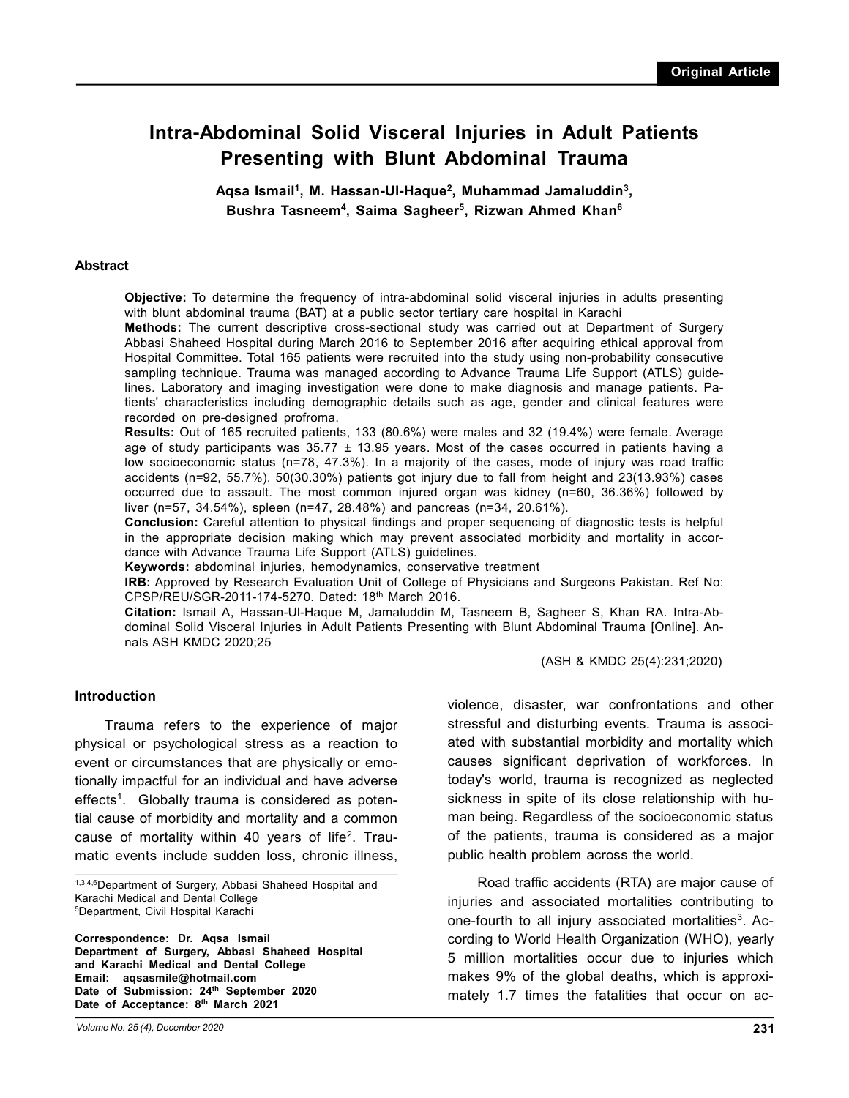# **Intra-Abdominal Solid Visceral Injuries in Adult Patients Presenting with Blunt Abdominal Trauma**

**Aqsa Ismail<sup>1</sup> , M. Hassan-Ul-Haque<sup>2</sup> , Muhammad Jamaluddin<sup>3</sup> , Bushra Tasneem<sup>4</sup> , Saima Sagheer<sup>5</sup> , Rizwan Ahmed Khan6**

#### **Abstract**

**Objective:** To determine the frequency of intra-abdominal solid visceral injuries in adults presenting with blunt abdominal trauma (BAT) at a public sector tertiary care hospital in Karachi

**Methods:** The current descriptive cross-sectional study was carried out at Department of Surgery Abbasi Shaheed Hospital during March 2016 to September 2016 after acquiring ethical approval from Hospital Committee. Total 165 patients were recruited into the study using non-probability consecutive sampling technique. Trauma was managed according to Advance Trauma Life Support (ATLS) guidelines. Laboratory and imaging investigation were done to make diagnosis and manage patients. Patients' characteristics including demographic details such as age, gender and clinical features were recorded on pre-designed profroma.

**Results:** Out of 165 recruited patients, 133 (80.6%) were males and 32 (19.4%) were female. Average age of study participants was  $35.77 \pm 13.95$  years. Most of the cases occurred in patients having a low socioeconomic status (n=78, 47.3%). In a majority of the cases, mode of injury was road traffic accidents (n=92, 55.7%). 50(30.30%) patients got injury due to fall from height and 23(13.93%) cases occurred due to assault. The most common injured organ was kidney (n=60, 36.36%) followed by liver (n=57, 34.54%), spleen (n=47, 28.48%) and pancreas (n=34, 20.61%).

**Conclusion:** Careful attention to physical findings and proper sequencing of diagnostic tests is helpful in the appropriate decision making which may prevent associated morbidity and mortality in accordance with Advance Trauma Life Support (ATLS) guidelines.

**Keywords:** abdominal injuries, hemodynamics, conservative treatment

**IRB:** Approved by Research Evaluation Unit of College of Physicians and Surgeons Pakistan. Ref No: CPSP/REU/SGR-2011-174-5270. Dated: 18th March 2016.

**Citation:** Ismail A, Hassan-Ul-Haque M, Jamaluddin M, Tasneem B, Sagheer S, Khan RA. Intra-Abdominal Solid Visceral Injuries in Adult Patients Presenting with Blunt Abdominal Trauma [Online]. Annals ASH KMDC 2020;25

(ASH & KMDC 25(4):231;2020)

#### **Introduction**

Trauma refers to the experience of major physical or psychological stress as a reaction to event or circumstances that are physically or emotionally impactful for an individual and have adverse effects<sup>1</sup>. Globally trauma is considered as potential cause of morbidity and mortality and a common cause of mortality within 40 years of life<sup>2</sup>. Traumatic events include sudden loss, chronic illness,

1,3,4,6Department of Surgery, Abbasi Shaheed Hospital and Karachi Medical and Dental College <sup>5</sup>Department, Civil Hospital Karachi

**Correspondence: Dr. Aqsa Ismail Department of Surgery, Abbasi Shaheed Hospital and Karachi Medical and Dental College Email: aqsasmile@hotmail.com Date of Submission: 24th September 2020 Date of Acceptance: 8th March 2021**

*Volume No. 25 (4), December 2020*

violence, disaster, war confrontations and other stressful and disturbing events. Trauma is associated with substantial morbidity and mortality which causes significant deprivation of workforces. In today's world, trauma is recognized as neglected sickness in spite of its close relationship with human being. Regardless of the socioeconomic status of the patients, trauma is considered as a major public health problem across the world.

Road traffic accidents (RTA) are major cause of injuries and associated mortalities contributing to one-fourth to all injury associated mortalities<sup>3</sup>. According to World Health Organization (WHO), yearly 5 million mortalities occur due to injuries which makes 9% of the global deaths, which is approximately 1.7 times the fatalities that occur on ac-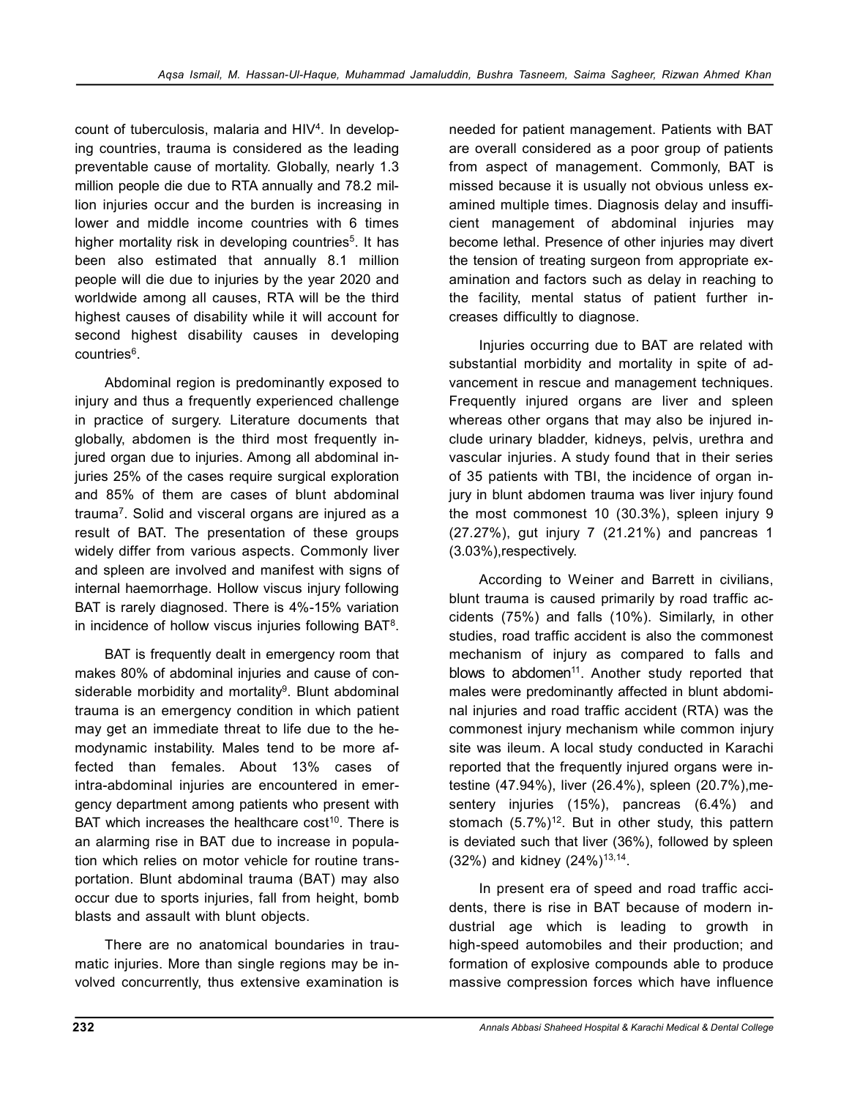count of tuberculosis, malaria and HIV<sup>4</sup>. In developing countries, trauma is considered as the leading preventable cause of mortality. Globally, nearly 1.3 million people die due to RTA annually and 78.2 million injuries occur and the burden is increasing in lower and middle income countries with 6 times higher mortality risk in developing countries<sup>5</sup>. It has been also estimated that annually 8.1 million people will die due to injuries by the year 2020 and worldwide among all causes, RTA will be the third highest causes of disability while it will account for second highest disability causes in developing countries<sup>6</sup>.

Abdominal region is predominantly exposed to injury and thus a frequently experienced challenge in practice of surgery. Literature documents that globally, abdomen is the third most frequently injured organ due to injuries. Among all abdominal injuries 25% of the cases require surgical exploration and 85% of them are cases of blunt abdominal trauma<sup>7</sup>. Solid and visceral organs are injured as a result of BAT. The presentation of these groups widely differ from various aspects. Commonly liver and spleen are involved and manifest with signs of internal haemorrhage. Hollow viscus injury following BAT is rarely diagnosed. There is 4%-15% variation in incidence of hollow viscus injuries following  $BAT<sup>8</sup>$ .

BAT is frequently dealt in emergency room that makes 80% of abdominal injuries and cause of considerable morbidity and mortality<sup>9</sup>. Blunt abdominal trauma is an emergency condition in which patient may get an immediate threat to life due to the hemodynamic instability. Males tend to be more affected than females. About 13% cases of intra-abdominal injuries are encountered in emergency department among patients who present with BAT which increases the healthcare  $cost^{10}$ . There is an alarming rise in BAT due to increase in population which relies on motor vehicle for routine transportation. Blunt abdominal trauma (BAT) may also occur due to sports injuries, fall from height, bomb blasts and assault with blunt objects.

There are no anatomical boundaries in traumatic injuries. More than single regions may be involved concurrently, thus extensive examination is

needed for patient management. Patients with BAT are overall considered as a poor group of patients from aspect of management. Commonly, BAT is missed because it is usually not obvious unless examined multiple times. Diagnosis delay and insufficient management of abdominal injuries may become lethal. Presence of other injuries may divert the tension of treating surgeon from appropriate examination and factors such as delay in reaching to the facility, mental status of patient further increases difficultly to diagnose.

Injuries occurring due to BAT are related with substantial morbidity and mortality in spite of advancement in rescue and management techniques. Frequently injured organs are liver and spleen whereas other organs that may also be injured include urinary bladder, kidneys, pelvis, urethra and vascular injuries. A study found that in their series of 35 patients with TBI, the incidence of organ injury in blunt abdomen trauma was liver injury found the most commonest 10 (30.3%), spleen injury 9 (27.27%), gut injury 7 (21.21%) and pancreas 1 (3.03%),respectively.

According to Weiner and Barrett in civilians, blunt trauma is caused primarily by road traffic accidents (75%) and falls (10%). Similarly, in other studies, road traffic accident is also the commonest mechanism of injury as compared to falls and blows to abdomen<sup>11</sup>. Another study reported that males were predominantly affected in blunt abdominal injuries and road traffic accident (RTA) was the commonest injury mechanism while common injury site was ileum. A local study conducted in Karachi reported that the frequently injured organs were intestine (47.94%), liver (26.4%), spleen (20.7%),mesentery injuries (15%), pancreas (6.4%) and stomach  $(5.7\%)$ <sup>12</sup>. But in other study, this pattern is deviated such that liver (36%), followed by spleen  $(32\%)$  and kidney  $(24\%)^{13,14}$ .

In present era of speed and road traffic accidents, there is rise in BAT because of modern industrial age which is leading to growth in high-speed automobiles and their production; and formation of explosive compounds able to produce massive compression forces which have influence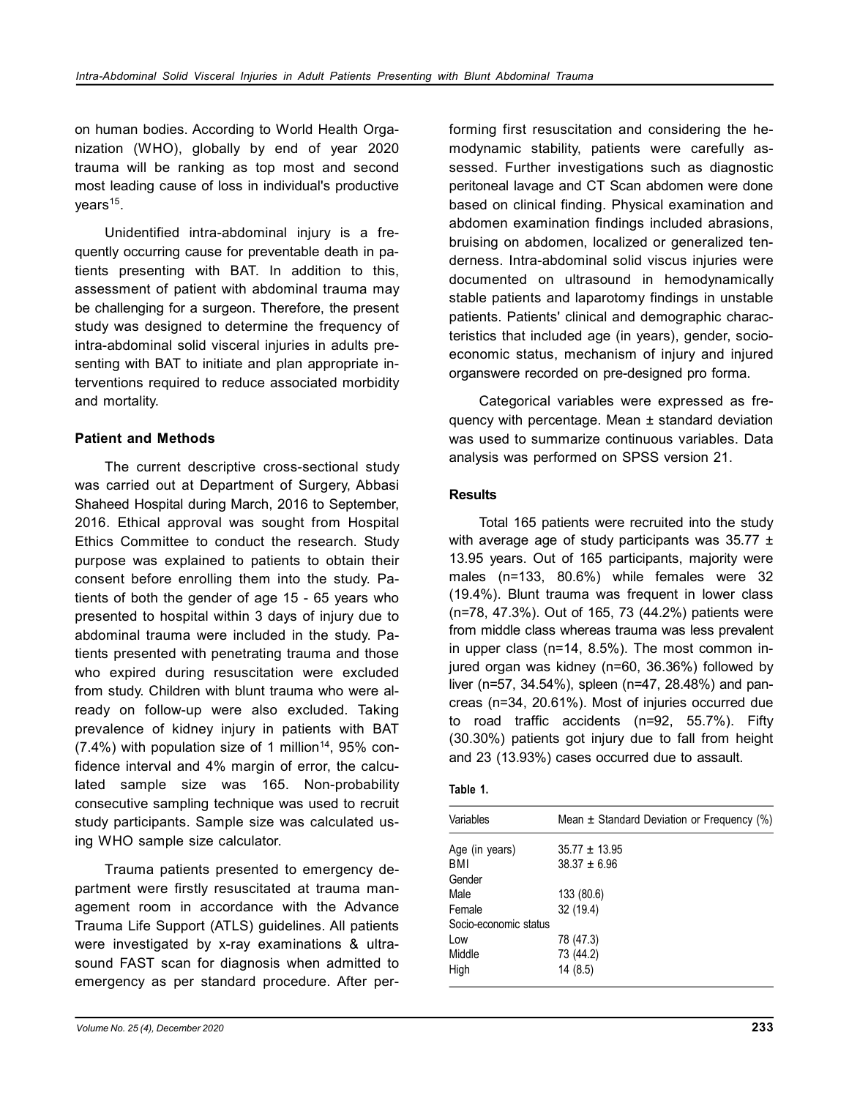on human bodies. According to World Health Organization (WHO), globally by end of year 2020 trauma will be ranking as top most and second most leading cause of loss in individual's productive years<sup>15</sup>.

Unidentified intra-abdominal injury is a frequently occurring cause for preventable death in patients presenting with BAT. In addition to this, assessment of patient with abdominal trauma may be challenging for a surgeon. Therefore, the present study was designed to determine the frequency of intra-abdominal solid visceral injuries in adults presenting with BAT to initiate and plan appropriate interventions required to reduce associated morbidity and mortality.

## **Patient and Methods**

The current descriptive cross-sectional study was carried out at Department of Surgery, Abbasi Shaheed Hospital during March, 2016 to September, 2016. Ethical approval was sought from Hospital Ethics Committee to conduct the research. Study purpose was explained to patients to obtain their consent before enrolling them into the study. Patients of both the gender of age 15 - 65 years who presented to hospital within 3 days of injury due to abdominal trauma were included in the study. Patients presented with penetrating trauma and those who expired during resuscitation were excluded from study. Children with blunt trauma who were already on follow-up were also excluded. Taking prevalence of kidney injury in patients with BAT (7.4%) with population size of 1 million<sup>14</sup>, 95% confidence interval and 4% margin of error, the calculated sample size was 165. Non-probability consecutive sampling technique was used to recruit study participants. Sample size was calculated using WHO sample size calculator.

Trauma patients presented to emergency department were firstly resuscitated at trauma management room in accordance with the Advance Trauma Life Support (ATLS) guidelines. All patients were investigated by x-ray examinations & ultrasound FAST scan for diagnosis when admitted to emergency as per standard procedure. After performing first resuscitation and considering the hemodynamic stability, patients were carefully assessed. Further investigations such as diagnostic peritoneal lavage and CT Scan abdomen were done based on clinical finding. Physical examination and abdomen examination findings included abrasions, bruising on abdomen, localized or generalized tenderness. Intra-abdominal solid viscus injuries were documented on ultrasound in hemodynamically stable patients and laparotomy findings in unstable patients. Patients' clinical and demographic characteristics that included age (in years), gender, socioeconomic status, mechanism of injury and injured organswere recorded on pre-designed pro forma.

Categorical variables were expressed as frequency with percentage. Mean ± standard deviation was used to summarize continuous variables. Data analysis was performed on SPSS version 21.

### **Results**

Total 165 patients were recruited into the study with average age of study participants was  $35.77 \pm$ 13.95 years. Out of 165 participants, majority were males (n=133, 80.6%) while females were 32 (19.4%). Blunt trauma was frequent in lower class (n=78, 47.3%). Out of 165, 73 (44.2%) patients were from middle class whereas trauma was less prevalent in upper class (n=14, 8.5%). The most common injured organ was kidney (n=60, 36.36%) followed by liver (n=57, 34.54%), spleen (n=47, 28.48%) and pancreas (n=34, 20.61%). Most of injuries occurred due to road traffic accidents (n=92, 55.7%). Fifty (30.30%) patients got injury due to fall from height and 23 (13.93%) cases occurred due to assault.

| labl |
|------|
|------|

| Variables             | Mean $\pm$ Standard Deviation or Frequency (%) |
|-----------------------|------------------------------------------------|
| Age (in years)        | $35.77 \pm 13.95$                              |
| BMI                   | $38.37 \pm 6.96$                               |
| Gender                |                                                |
| Male                  | 133 (80.6)                                     |
| Female                | 32 (19.4)                                      |
| Socio-economic status |                                                |
| Low                   | 78 (47.3)                                      |
| Middle                | 73 (44.2)                                      |
| High                  | 14 (8.5)                                       |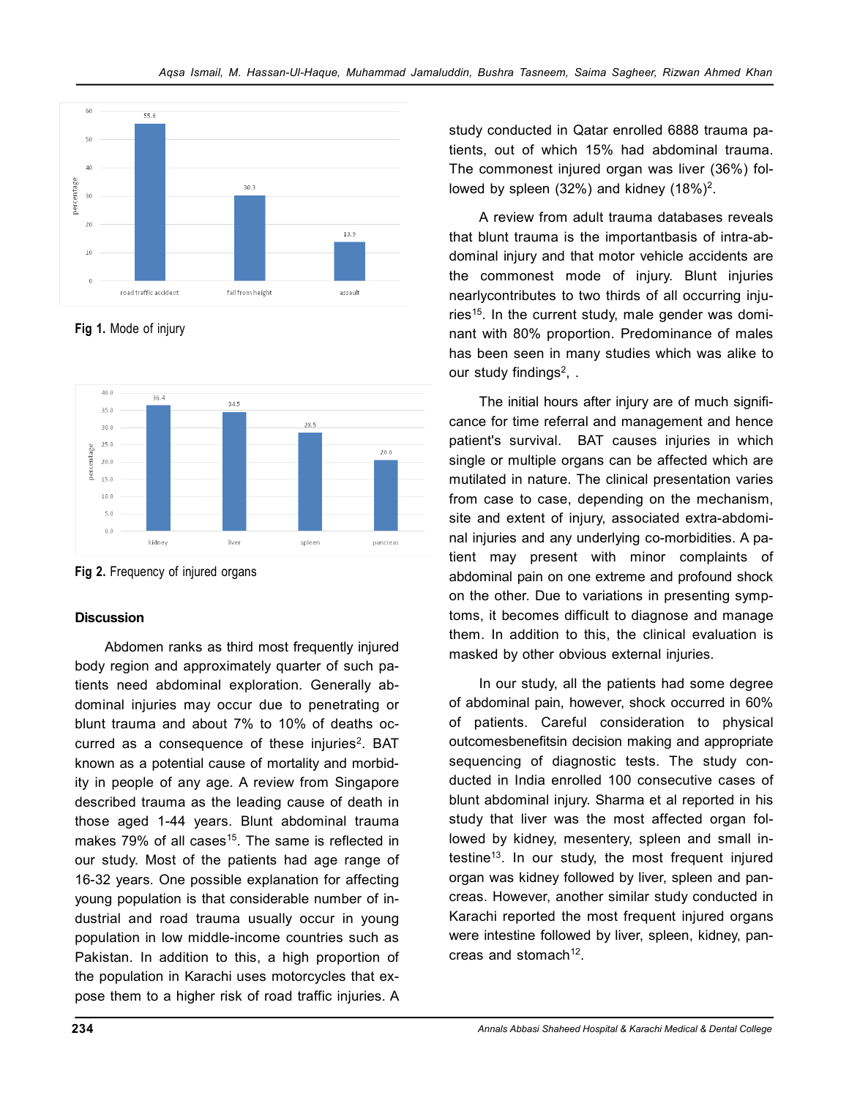

**Fig 1.** Mode of injury



**Fig 2.** Frequency of injured organs

# **Discussion**

Abdomen ranks as third most frequently injured body region and approximately quarter of such patients need abdominal exploration. Generally abdominal injuries may occur due to penetrating or blunt trauma and about 7% to 10% of deaths occurred as a consequence of these injuries<sup>2</sup>. BAT known as a potential cause of mortality and morbidity in people of any age. A review from Singapore described trauma as the leading cause of death in those aged 1-44 years. Blunt abdominal trauma makes  $79\%$  of all cases<sup>15</sup>. The same is reflected in our study. Most of the patients had age range of 16-32 years. One possible explanation for affecting young population is that considerable number of industrial and road trauma usually occur in young population in low middle-income countries such as Pakistan. In addition to this, a high proportion of the population in Karachi uses motorcycles that expose them to a higher risk of road traffic injuries. A study conducted in Qatar enrolled 6888 trauma patients, out of which 15% had abdominal trauma. The commonest injured organ was liver (36%) followed by spleen  $(32%)$  and kidney  $(18%)^2$ .

A review from adult trauma databases reveals that blunt trauma is the importantbasis of intra-abdominal injury and that motor vehicle accidents are the commonest mode of injury. Blunt injuries nearlycontributes to two thirds of all occurring injuries<sup>15</sup>. In the current study, male gender was dominant with 80% proportion. Predominance of males has been seen in many studies which was alike to our study findings<sup>2</sup>, .

The initial hours after injury are of much significance for time referral and management and hence patient's survival. BAT causes injuries in which single or multiple organs can be affected which are mutilated in nature. The clinical presentation varies from case to case, depending on the mechanism, site and extent of injury, associated extra-abdominal injuries and any underlying co-morbidities. A patient may present with minor complaints of abdominal pain on one extreme and profound shock on the other. Due to variations in presenting symptoms, it becomes difficult to diagnose and manage them. In addition to this, the clinical evaluation is masked by other obvious external injuries.

In our study, all the patients had some degree of abdominal pain, however, shock occurred in 60% of patients. Careful consideration to physical outcomesbenefitsin decision making and appropriate sequencing of diagnostic tests. The study conducted in India enrolled 100 consecutive cases of blunt abdominal injury. Sharma et al reported in his study that liver was the most affected organ followed by kidney, mesentery, spleen and small intestine<sup>13</sup>. In our study, the most frequent injured organ was kidney followed by liver, spleen and pancreas. However, another similar study conducted in Karachi reported the most frequent injured organs were intestine followed by liver, spleen, kidney, pancreas and stomach<sup>12</sup>.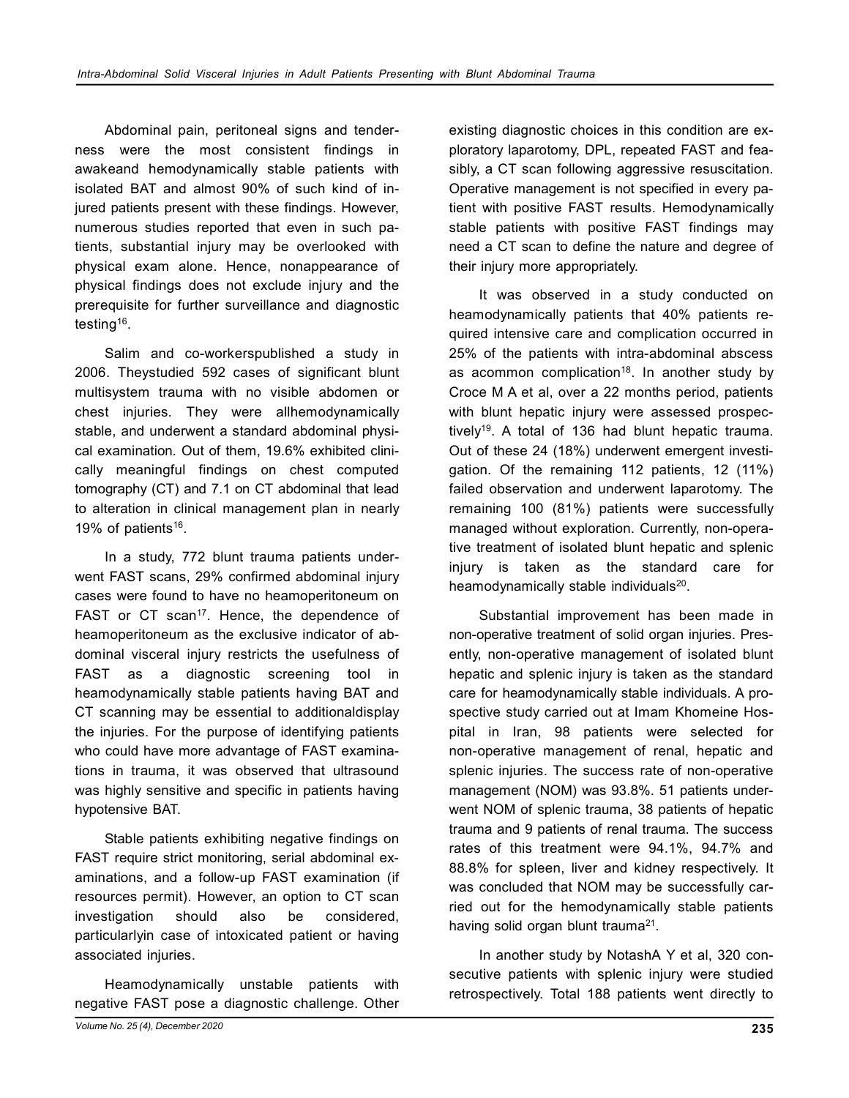Abdominal pain, peritoneal signs and tenderness were the most consistent findings in awakeand hemodynamically stable patients with isolated BAT and almost 90% of such kind of injured patients present with these findings. However, numerous studies reported that even in such patients, substantial injury may be overlooked with physical exam alone. Hence, nonappearance of physical findings does not exclude injury and the prerequisite for further surveillance and diagnostic testing<sup>16</sup>.

Salim and co-workerspublished a study in 2006. Theystudied 592 cases of significant blunt multisystem trauma with no visible abdomen or chest injuries. They were allhemodynamically stable, and underwent a standard abdominal physical examination. Out of them, 19.6% exhibited clinically meaningful findings on chest computed tomography (CT) and 7.1 on CT abdominal that lead to alteration in clinical management plan in nearly 19% of patients<sup>16</sup>.

In a study, 772 blunt trauma patients underwent FAST scans, 29% confirmed abdominal injury cases were found to have no heamoperitoneum on FAST or CT scan<sup>17</sup>. Hence, the dependence of heamoperitoneum as the exclusive indicator of abdominal visceral injury restricts the usefulness of FAST as a diagnostic screening tool in heamodynamically stable patients having BAT and CT scanning may be essential to additionaldisplay the injuries. For the purpose of identifying patients who could have more advantage of FAST examinations in trauma, it was observed that ultrasound was highly sensitive and specific in patients having hypotensive BAT.

Stable patients exhibiting negative findings on FAST require strict monitoring, serial abdominal examinations, and a follow-up FAST examination (if resources permit). However, an option to CT scan investigation should also be considered, particularlyin case of intoxicated patient or having associated injuries.

Heamodynamically unstable patients with negative FAST pose a diagnostic challenge. Other existing diagnostic choices in this condition are exploratory laparotomy, DPL, repeated FAST and feasibly, a CT scan following aggressive resuscitation. Operative management is not specified in every patient with positive FAST results. Hemodynamically stable patients with positive FAST findings may need a CT scan to define the nature and degree of their injury more appropriately.

It was observed in a study conducted on heamodynamically patients that 40% patients required intensive care and complication occurred in 25% of the patients with intra-abdominal abscess as acommon complication<sup>18</sup>. In another study by Croce M A et al, over a 22 months period, patients with blunt hepatic injury were assessed prospectively<sup>19</sup>. A total of 136 had blunt hepatic trauma. Out of these 24 (18%) underwent emergent investigation. Of the remaining 112 patients, 12 (11%) failed observation and underwent laparotomy. The remaining 100 (81%) patients were successfully managed without exploration. Currently, non-operative treatment of isolated blunt hepatic and splenic injury is taken as the standard care for heamodynamically stable individuals<sup>20</sup>.

Substantial improvement has been made in non-operative treatment of solid organ injuries. Presently, non-operative management of isolated blunt hepatic and splenic injury is taken as the standard care for heamodynamically stable individuals. A prospective study carried out at Imam Khomeine Hospital in Iran, 98 patients were selected for non-operative management of renal, hepatic and splenic injuries. The success rate of non-operative management (NOM) was 93.8%. 51 patients underwent NOM of splenic trauma, 38 patients of hepatic trauma and 9 patients of renal trauma. The success rates of this treatment were 94.1%, 94.7% and 88.8% for spleen, liver and kidney respectively. It was concluded that NOM may be successfully carried out for the hemodynamically stable patients having solid organ blunt trauma<sup>21</sup>.

In another study by NotashA Y et al, 320 consecutive patients with splenic injury were studied retrospectively. Total 188 patients went directly to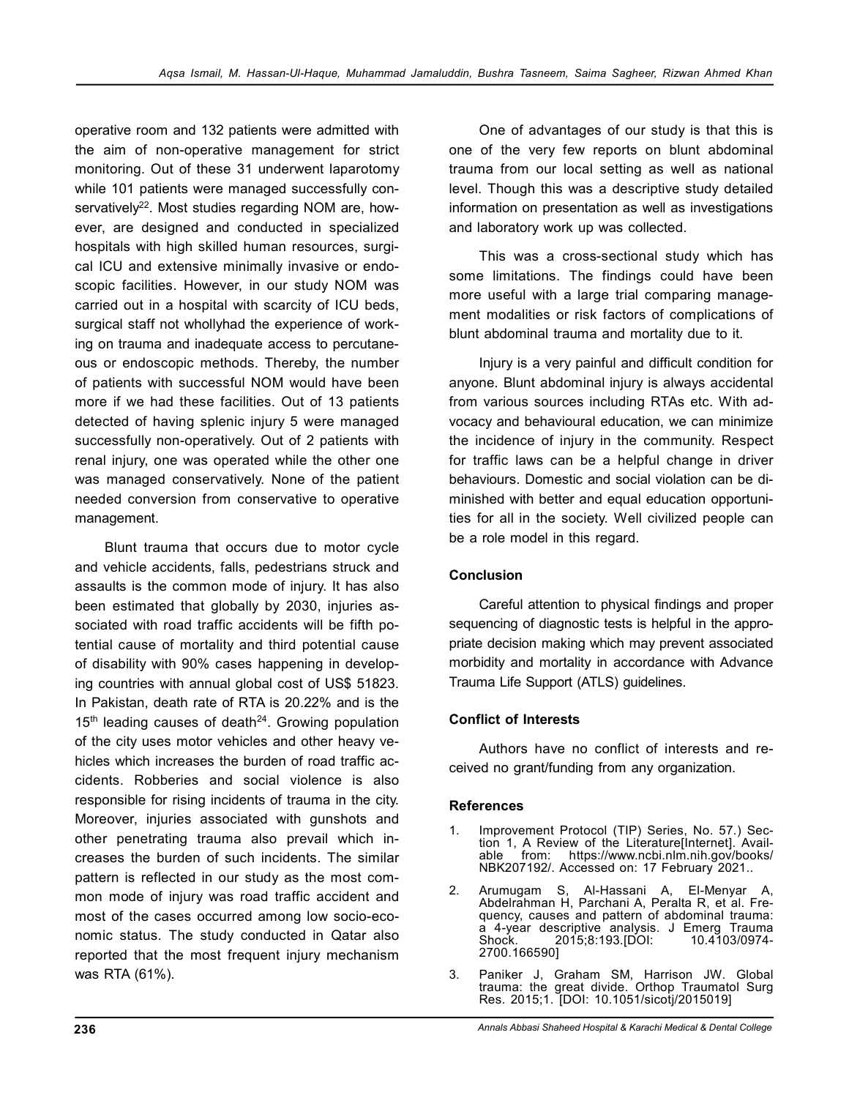operative room and 132 patients were admitted with the aim of non-operative management for strict monitoring. Out of these 31 underwent laparotomy while 101 patients were managed successfully conservatively<sup>22</sup>. Most studies regarding NOM are, however, are designed and conducted in specialized hospitals with high skilled human resources, surgical ICU and extensive minimally invasive or endoscopic facilities. However, in our study NOM was carried out in a hospital with scarcity of ICU beds, surgical staff not whollyhad the experience of working on trauma and inadequate access to percutaneous or endoscopic methods. Thereby, the number of patients with successful NOM would have been more if we had these facilities. Out of 13 patients detected of having splenic injury 5 were managed successfully non-operatively. Out of 2 patients with renal injury, one was operated while the other one was managed conservatively. None of the patient needed conversion from conservative to operative management.

Blunt trauma that occurs due to motor cycle and vehicle accidents, falls, pedestrians struck and assaults is the common mode of injury. It has also been estimated that globally by 2030, injuries associated with road traffic accidents will be fifth potential cause of mortality and third potential cause of disability with 90% cases happening in developing countries with annual global cost of US\$ 51823. In Pakistan, death rate of RTA is 20.22% and is the  $15<sup>th</sup>$  leading causes of death<sup>24</sup>. Growing population of the city uses motor vehicles and other heavy vehicles which increases the burden of road traffic accidents. Robberies and social violence is also responsible for rising incidents of trauma in the city. Moreover, injuries associated with gunshots and other penetrating trauma also prevail which increases the burden of such incidents. The similar pattern is reflected in our study as the most common mode of injury was road traffic accident and most of the cases occurred among low socio-economic status. The study conducted in Qatar also reported that the most frequent injury mechanism was RTA (61%).

One of advantages of our study is that this is one of the very few reports on blunt abdominal trauma from our local setting as well as national level. Though this was a descriptive study detailed information on presentation as well as investigations and laboratory work up was collected.

This was a cross-sectional study which has some limitations. The findings could have been more useful with a large trial comparing management modalities or risk factors of complications of blunt abdominal trauma and mortality due to it.

Injury is a very painful and difficult condition for anyone. Blunt abdominal injury is always accidental from various sources including RTAs etc. With advocacy and behavioural education, we can minimize the incidence of injury in the community. Respect for traffic laws can be a helpful change in driver behaviours. Domestic and social violation can be diminished with better and equal education opportunities for all in the society. Well civilized people can be a role model in this regard.

# **Conclusion**

Careful attention to physical findings and proper sequencing of diagnostic tests is helpful in the appropriate decision making which may prevent associated morbidity and mortality in accordance with Advance Trauma Life Support (ATLS) guidelines.

# **Conflict of Interests**

Authors have no conflict of interests and received no grant/funding from any organization.

# **References**

- Improvement Protocol (TIP) Series, No. 57.) Section 1, A Review of the Literature[Internet]. Available from: https://www.ncbi.nlm.nih.gov/books/ NBK207192/. Accessed on: 17 February 2021..
- 2. Arumugam S, Al-Hassani A, El-Menyar A, Abdelrahman H, Parchani A, Peralta R, et al. Frequency, causes and pattern of abdominal trauma: a 4-year descriptive analysis. J Emerg Trauma 2015;8:193. [DOI: 2700.166590]
- 3. Paniker J, Graham SM, Harrison JW. Global trauma: the great divide. Orthop Traumatol Surg Res. 2015;1. [DOI: 10.1051/sicotj/2015019]